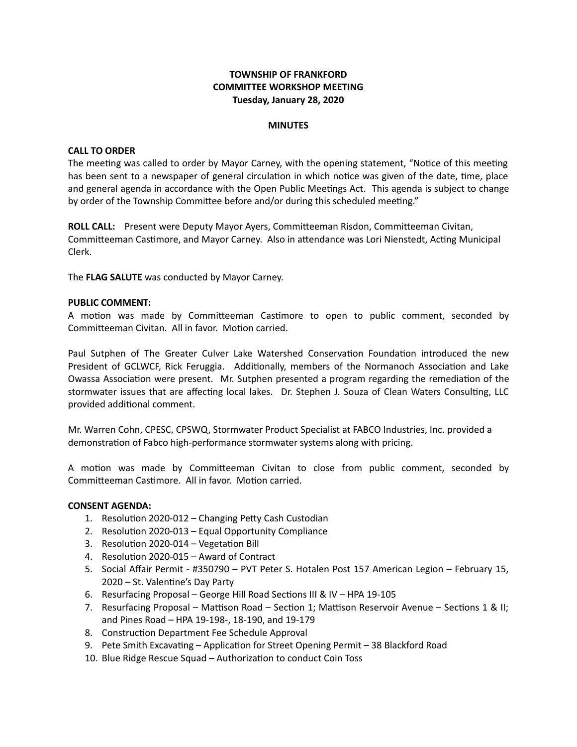## **TOWNSHIP OF FRANKFORD COMMITTEE WORKSHOP MEETING Tuesday, January 28, 2020**

#### **MINUTES**

#### **CALL TO ORDER**

The meeting was called to order by Mayor Carney, with the opening statement, "Notice of this meeting has been sent to a newspaper of general circulation in which notice was given of the date, time, place and general agenda in accordance with the Open Public Meetings Act. This agenda is subject to change by order of the Township Committee before and/or during this scheduled meeting."

**ROLL CALL:** Present were Deputy Mayor Ayers, Committeeman Risdon, Committeeman Civitan, Committeeman Castimore, and Mayor Carney. Also in attendance was Lori Nienstedt, Acting Municipal Clerk.

The **FLAG SALUTE** was conducted by Mayor Carney.

#### **PUBLIC COMMENT:**

A motion was made by Committeeman Castimore to open to public comment, seconded by Committeeman Civitan. All in favor. Motion carried.

Paul Sutphen of The Greater Culver Lake Watershed Conservation Foundation introduced the new President of GCLWCF, Rick Feruggia. Additionally, members of the Normanoch Association and Lake Owassa Association were present. Mr. Sutphen presented a program regarding the remediation of the stormwater issues that are affecting local lakes. Dr. Stephen J. Souza of Clean Waters Consulting, LLC provided additional comment.

Mr. Warren Cohn, CPESC, CPSWQ, Stormwater Product Specialist at FABCO Industries, Inc. provided a demonstration of Fabco high-performance stormwater systems along with pricing.

A motion was made by Committeeman Civitan to close from public comment, seconded by Committeeman Castimore. All in favor. Motion carried.

#### **CONSENT AGENDA:**

- 1. Resolution 2020-012 Changing Petty Cash Custodian
- 2. Resolution 2020-013 Equal Opportunity Compliance
- 3. Resolution 2020-014 Vegetation Bill
- 4. Resolution 2020-015 Award of Contract
- 5. Social Affair Permit #350790 PVT Peter S. Hotalen Post 157 American Legion February 15, 2020 – St. Valentine's Day Party
- 6. Resurfacing Proposal George Hill Road Sections III & IV HPA 19-105
- 7. Resurfacing Proposal Mattison Road Section 1; Mattison Reservoir Avenue Sections 1 & II; and Pines Road – HPA 19-198-, 18-190, and 19-179
- 8. Construction Department Fee Schedule Approval
- 9. Pete Smith Excavating Application for Street Opening Permit 38 Blackford Road
- 10. Blue Ridge Rescue Squad Authorization to conduct Coin Toss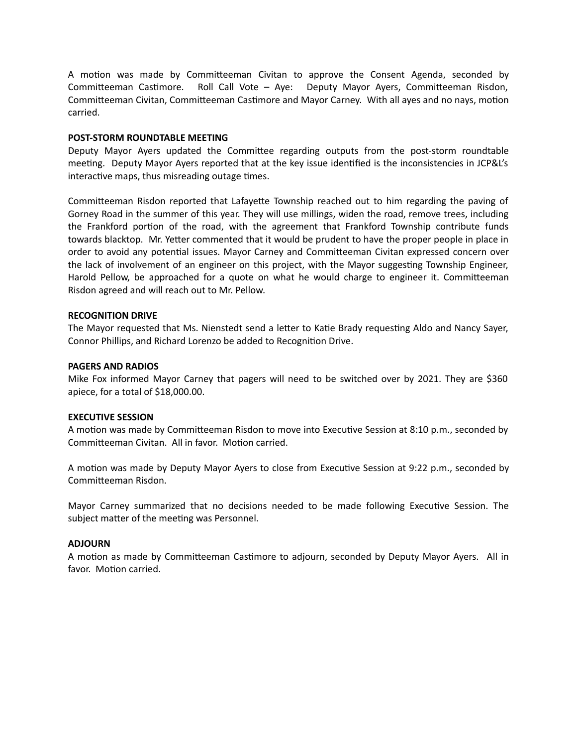A motion was made by Committeeman Civitan to approve the Consent Agenda, seconded by Committeeman Castimore. Roll Call Vote – Aye: Deputy Mayor Ayers, Committeeman Risdon, Committeeman Civitan, Committeeman Castimore and Mayor Carney. With all ayes and no nays, motion carried.

#### **POST-STORM ROUNDTABLE MEETING**

Deputy Mayor Ayers updated the Committee regarding outputs from the post-storm roundtable meeting. Deputy Mayor Ayers reported that at the key issue identified is the inconsistencies in JCP&L's interactive maps, thus misreading outage times.

Committeeman Risdon reported that Lafayette Township reached out to him regarding the paving of Gorney Road in the summer of this year. They will use millings, widen the road, remove trees, including the Frankford portion of the road, with the agreement that Frankford Township contribute funds towards blacktop. Mr. Yetter commented that it would be prudent to have the proper people in place in order to avoid any potential issues. Mayor Carney and Committeeman Civitan expressed concern over the lack of involvement of an engineer on this project, with the Mayor suggesting Township Engineer, Harold Pellow, be approached for a quote on what he would charge to engineer it. Committeeman Risdon agreed and will reach out to Mr. Pellow.

#### **RECOGNITION DRIVE**

The Mayor requested that Ms. Nienstedt send a letter to Katie Brady requesting Aldo and Nancy Sayer, Connor Phillips, and Richard Lorenzo be added to Recognition Drive.

#### **PAGERS AND RADIOS**

Mike Fox informed Mayor Carney that pagers will need to be switched over by 2021. They are \$360 apiece, for a total of \$18,000.00.

#### **EXECUTIVE SESSION**

A motion was made by Committeeman Risdon to move into Executive Session at 8:10 p.m., seconded by Committeeman Civitan. All in favor. Motion carried.

A motion was made by Deputy Mayor Ayers to close from Executive Session at 9:22 p.m., seconded by Committeeman Risdon.

Mayor Carney summarized that no decisions needed to be made following Executive Session. The subject matter of the meeting was Personnel.

#### **ADJOURN**

A motion as made by Committeeman Castimore to adjourn, seconded by Deputy Mayor Ayers. All in favor. Motion carried.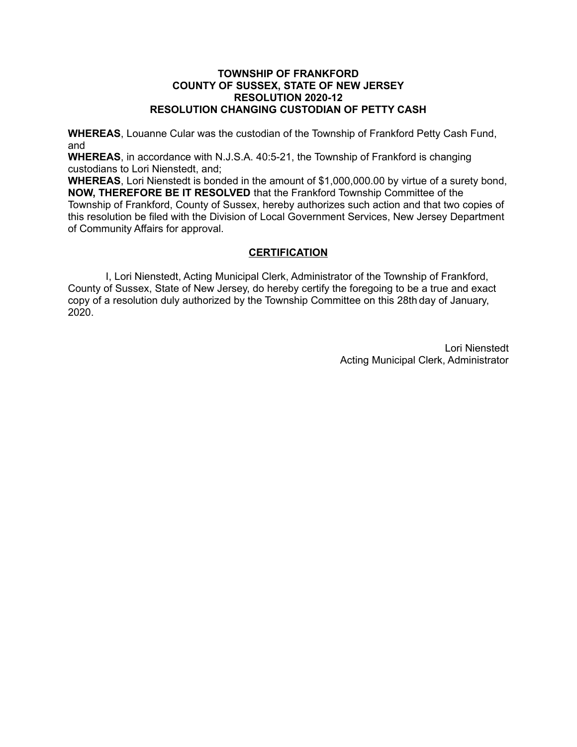## **TOWNSHIP OF FRANKFORD COUNTY OF SUSSEX, STATE OF NEW JERSEY RESOLUTION 2020-12 RESOLUTION CHANGING CUSTODIAN OF PETTY CASH**

**WHEREAS**, Louanne Cular was the custodian of the Township of Frankford Petty Cash Fund, and

**WHEREAS**, in accordance with N.J.S.A. 40:5-21, the Township of Frankford is changing custodians to Lori Nienstedt, and;

**WHEREAS**, Lori Nienstedt is bonded in the amount of \$1,000,000.00 by virtue of a surety bond, **NOW, THEREFORE BE IT RESOLVED** that the Frankford Township Committee of the Township of Frankford, County of Sussex, hereby authorizes such action and that two copies of this resolution be filed with the Division of Local Government Services, New Jersey Department of Community Affairs for approval.

# **CERTIFICATION**

 I, Lori Nienstedt, Acting Municipal Clerk, Administrator of the Township of Frankford, County of Sussex, State of New Jersey, do hereby certify the foregoing to be a true and exact copy of a resolution duly authorized by the Township Committee on this 28th day of January, 2020.

> Lori Nienstedt Acting Municipal Clerk, Administrator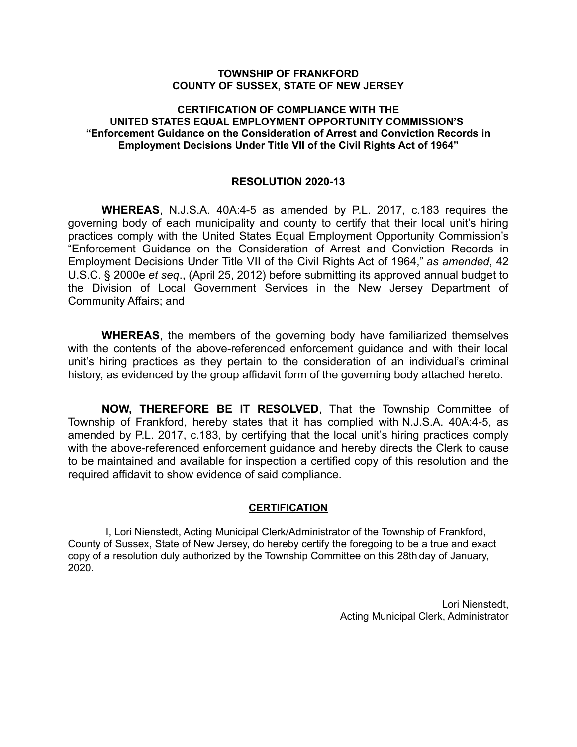### **TOWNSHIP OF FRANKFORD COUNTY OF SUSSEX, STATE OF NEW JERSEY**

## **CERTIFICATION OF COMPLIANCE WITH THE UNITED STATES EQUAL EMPLOYMENT OPPORTUNITY COMMISSION'S "Enforcement Guidance on the Consideration of Arrest and Conviction Records in Employment Decisions Under Title VII of the Civil Rights Act of 1964"**

## **RESOLUTION 2020-13**

**WHEREAS**, N.J.S.A. 40A:4-5 as amended by P.L. 2017, c.183 requires the governing body of each municipality and county to certify that their local unit's hiring practices comply with the United States Equal Employment Opportunity Commission's "Enforcement Guidance on the Consideration of Arrest and Conviction Records in Employment Decisions Under Title VII of the Civil Rights Act of 1964," *as amended*, 42 U.S.C. § 2000e *et seq*., (April 25, 2012) before submitting its approved annual budget to the Division of Local Government Services in the New Jersey Department of Community Affairs; and

**WHEREAS**, the members of the governing body have familiarized themselves with the contents of the above-referenced enforcement quidance and with their local unit's hiring practices as they pertain to the consideration of an individual's criminal history, as evidenced by the group affidavit form of the governing body attached hereto.

**NOW, THEREFORE BE IT RESOLVED**, That the Township Committee of Township of Frankford, hereby states that it has complied with N.J.S.A. 40A:4-5, as amended by P.L. 2017, c.183, by certifying that the local unit's hiring practices comply with the above-referenced enforcement guidance and hereby directs the Clerk to cause to be maintained and available for inspection a certified copy of this resolution and the required affidavit to show evidence of said compliance.

#### **CERTIFICATION**

 I, Lori Nienstedt, Acting Municipal Clerk/Administrator of the Township of Frankford, County of Sussex, State of New Jersey, do hereby certify the foregoing to be a true and exact copy of a resolution duly authorized by the Township Committee on this 28th day of January, 2020.

> Lori Nienstedt, Acting Municipal Clerk, Administrator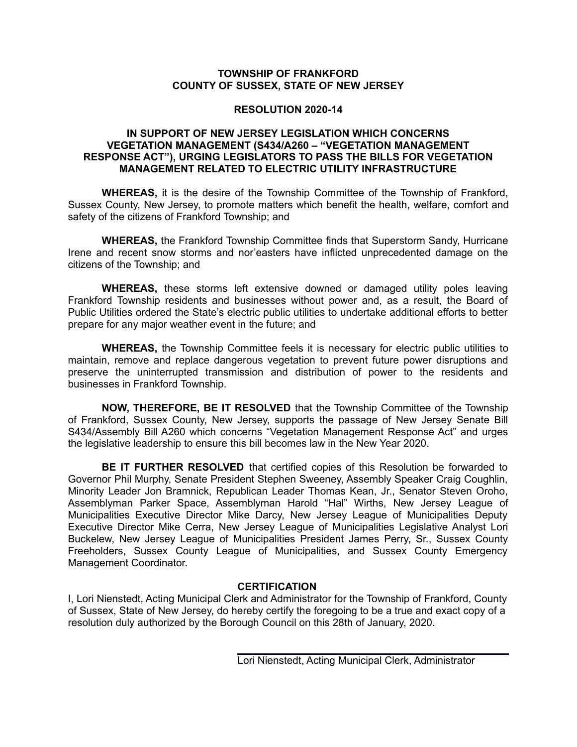## **TOWNSHIP OF FRANKFORD COUNTY OF SUSSEX, STATE OF NEW JERSEY**

## **RESOLUTION 2020-14**

### **IN SUPPORT OF NEW JERSEY LEGISLATION WHICH CONCERNS VEGETATION MANAGEMENT (S434/A260 – "VEGETATION MANAGEMENT RESPONSE ACT"), URGING LEGISLATORS TO PASS THE BILLS FOR VEGETATION MANAGEMENT RELATED TO ELECTRIC UTILITY INFRASTRUCTURE**

**WHEREAS,** it is the desire of the Township Committee of the Township of Frankford, Sussex County, New Jersey, to promote matters which benefit the health, welfare, comfort and safety of the citizens of Frankford Township; and

**WHEREAS,** the Frankford Township Committee finds that Superstorm Sandy, Hurricane Irene and recent snow storms and nor'easters have inflicted unprecedented damage on the citizens of the Township; and

**WHEREAS,** these storms left extensive downed or damaged utility poles leaving Frankford Township residents and businesses without power and, as a result, the Board of Public Utilities ordered the State's electric public utilities to undertake additional efforts to better prepare for any major weather event in the future; and

**WHEREAS,** the Township Committee feels it is necessary for electric public utilities to maintain, remove and replace dangerous vegetation to prevent future power disruptions and preserve the uninterrupted transmission and distribution of power to the residents and businesses in Frankford Township.

**NOW, THEREFORE, BE IT RESOLVED** that the Township Committee of the Township of Frankford, Sussex County, New Jersey, supports the passage of New Jersey Senate Bill S434/Assembly Bill A260 which concerns "Vegetation Management Response Act" and urges the legislative leadership to ensure this bill becomes law in the New Year 2020.

**BE IT FURTHER RESOLVED** that certified copies of this Resolution be forwarded to Governor Phil Murphy, Senate President Stephen Sweeney, Assembly Speaker Craig Coughlin, Minority Leader Jon Bramnick, Republican Leader Thomas Kean, Jr., Senator Steven Oroho, Assemblyman Parker Space, Assemblyman Harold "Hal" Wirths, New Jersey League of Municipalities Executive Director Mike Darcy, New Jersey League of Municipalities Deputy Executive Director Mike Cerra, New Jersey League of Municipalities Legislative Analyst Lori Buckelew, New Jersey League of Municipalities President James Perry, Sr., Sussex County Freeholders, Sussex County League of Municipalities, and Sussex County Emergency Management Coordinator.

## **CERTIFICATION**

I, Lori Nienstedt, Acting Municipal Clerk and Administrator for the Township of Frankford, County of Sussex, State of New Jersey, do hereby certify the foregoing to be a true and exact copy of a resolution duly authorized by the Borough Council on this 28th of January, 2020.